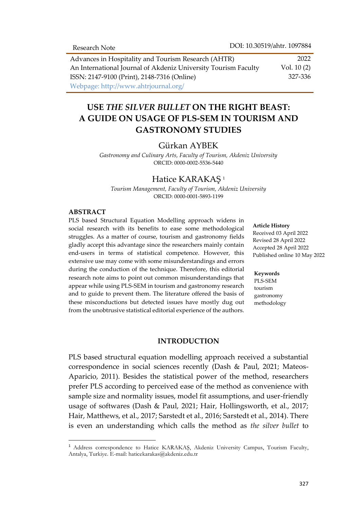Advances in Hospitality and Tourism Research (AHTR) An International Journal of Akdeniz University Tourism Faculty ISSN: 2147-9100 (Print), 2148-7316 (Online) Webpage: http://www.ahtrjournal.org/ 2022 Vol. 10 (2) 327-336

# **USE** *THE SILVER BULLET* **ON THE RIGHT BEAST: A GUIDE ON USAGE OF PLS-SEM IN TOURISM AND GASTRONOMY STUDIES**

#### Gürkan AYBEK

*Gastronomy and Culinary Arts, Faculty of Tourism, Akdeniz University* ORCID: 0000-0002-5536-5440

### Hatice KARAKAŞ <sup>1</sup>

*Tourism Management, Faculty of Tourism, Akdeniz University* ORCID: 0000-0001-5893-1199

#### **ABSTRACT**

 $\overline{a}$ 

PLS based Structural Equation Modelling approach widens in social research with its benefits to ease some methodological struggles. As a matter of course, tourism and gastronomy fields gladly accept this advantage since the researchers mainly contain end-users in terms of statistical competence. However, this extensive use may come with some misunderstandings and errors during the conduction of the technique. Therefore, this editorial research note aims to point out common misunderstandings that appear while using PLS-SEM in tourism and gastronomy research and to guide to prevent them. The literature offered the basis of these misconductions but detected issues have mostly dug out from the unobtrusive statistical editorial experience of the authors.

#### **Article History**

Received 03 April 2022 Revised 28 April 2022 Accepted 28 April 2022 Published online 10 May 2022

#### **Keywords**

PLS-SEM tourism gastronomy methodology

#### **INTRODUCTION**

PLS based structural equation modelling approach received a substantial correspondence in social sciences recently (Dash & Paul, 2021; Mateos-Aparicio, 2011). Besides the statistical power of the method, researchers prefer PLS according to perceived ease of the method as convenience with sample size and normality issues, model fit assumptions, and user-friendly usage of softwares (Dash & Paul, 2021; Hair, Hollingsworth, et al., 2017; Hair, Matthews, et al., 2017; Sarstedt et al., 2016; Sarstedt et al., 2014). There is even an understanding which calls the method as *the silver bullet* to

<sup>&</sup>lt;sup>1</sup> Address correspondence to Hatice KARAKAŞ, Akdeniz University Campus, Tourism Faculty, Antalya, Turkiye. E-mail: haticekarakas@akdeniz.edu.tr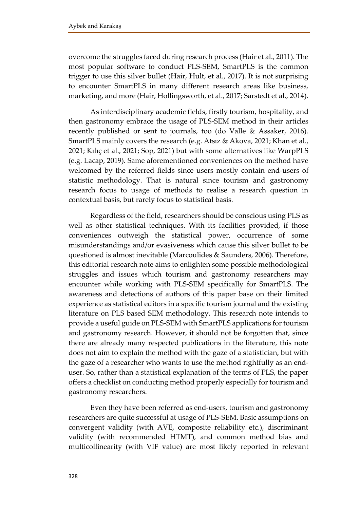overcome the struggles faced during research process (Hair et al., 2011). The most popular software to conduct PLS-SEM, SmartPLS is the common trigger to use this silver bullet (Hair, Hult, et al., 2017). It is not surprising to encounter SmartPLS in many different research areas like business, marketing, and more (Hair, Hollingsworth, et al., 2017; Sarstedt et al., 2014).

As interdisciplinary academic fields, firstly tourism, hospitality, and then gastronomy embrace the usage of PLS-SEM method in their articles recently published or sent to journals, too (do Valle & Assaker, 2016). SmartPLS mainly covers the research (e.g. Atsız & Akova, 2021; Khan et al., 2021; Kılıç et al., 2021; Sop, 2021) but with some alternatives like WarpPLS (e.g. Lacap, 2019). Same aforementioned conveniences on the method have welcomed by the referred fields since users mostly contain end-users of statistic methodology. That is natural since tourism and gastronomy research focus to usage of methods to realise a research question in contextual basis, but rarely focus to statistical basis.

Regardless of the field, researchers should be conscious using PLS as well as other statistical techniques. With its facilities provided, if those conveniences outweigh the statistical power, occurrence of some misunderstandings and/or evasiveness which cause this silver bullet to be questioned is almost inevitable (Marcoulides & Saunders, 2006). Therefore, this editorial research note aims to enlighten some possible methodological struggles and issues which tourism and gastronomy researchers may encounter while working with PLS-SEM specifically for SmartPLS. The awareness and detections of authors of this paper base on their limited experience as statistical editors in a specific tourism journal and the existing literature on PLS based SEM methodology. This research note intends to provide a useful guide on PLS-SEM with SmartPLS applications for tourism and gastronomy research. However, it should not be forgotten that, since there are already many respected publications in the literature, this note does not aim to explain the method with the gaze of a statistician, but with the gaze of a researcher who wants to use the method rightfully as an enduser. So, rather than a statistical explanation of the terms of PLS, the paper offers a checklist on conducting method properly especially for tourism and gastronomy researchers.

Even they have been referred as end-users, tourism and gastronomy researchers are quite successful at usage of PLS-SEM. Basic assumptions on convergent validity (with AVE, composite reliability etc.), discriminant validity (with recommended HTMT), and common method bias and multicollinearity (with VIF value) are most likely reported in relevant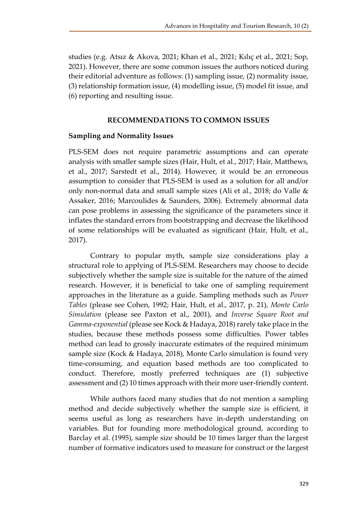studies (e.g. Atsız & Akova, 2021; Khan et al., 2021; Kılıç et al., 2021; Sop, 2021). However, there are some common issues the authors noticed during their editorial adventure as follows: (1) sampling issue, (2) normality issue, (3) relationship formation issue, (4) modelling issue, (5) model fit issue, and (6) reporting and resulting issue.

#### **RECOMMENDATIONS TO COMMON ISSUES**

#### **Sampling and Normality Issues**

PLS-SEM does not require parametric assumptions and can operate analysis with smaller sample sizes (Hair, Hult, et al., 2017; Hair, Matthews, et al., 2017; Sarstedt et al., 2014). However, it would be an erroneous assumption to consider that PLS-SEM is used as a solution for all and/or only non-normal data and small sample sizes (Ali et al., 2018; do Valle & Assaker, 2016; Marcoulides & Saunders, 2006). Extremely abnormal data can pose problems in assessing the significance of the parameters since it inflates the standard errors from bootstrapping and decrease the likelihood of some relationships will be evaluated as significant (Hair, Hult, et al., 2017).

Contrary to popular myth, sample size considerations play a structural role to applying of PLS-SEM. Researchers may choose to decide subjectively whether the sample size is suitable for the nature of the aimed research. However, it is beneficial to take one of sampling requirement approaches in the literature as a guide. Sampling methods such as *Power Tables* (please see Cohen, 1992; Hair, Hult, et al., 2017, p. 21), *Monte Carlo Simulation* (please see Paxton et al., 2001), and *Inverse Square Root and Gamma-exponential* (please see Kock & Hadaya, 2018) rarely take place in the studies, because these methods possess some difficulties. Power tables method can lead to grossly inaccurate estimates of the required minimum sample size (Kock & Hadaya, 2018), Monte Carlo simulation is found very time-consuming, and equation based methods are too complicated to conduct. Therefore, mostly preferred techniques are (1) subjective assessment and (2) 10 times approach with their more user-friendly content.

While authors faced many studies that do not mention a sampling method and decide subjectively whether the sample size is efficient, it seems useful as long as researchers have in-depth understanding on variables. But for founding more methodological ground, according to Barclay et al. (1995), sample size should be 10 times larger than the largest number of formative indicators used to measure for construct or the largest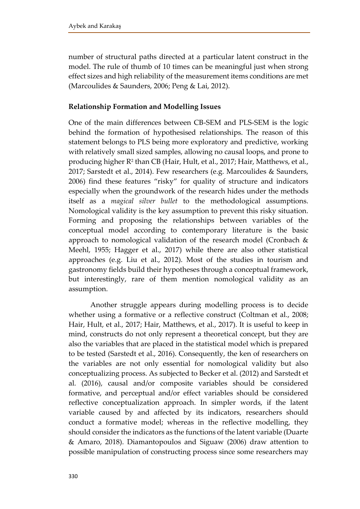number of structural paths directed at a particular latent construct in the model. The rule of thumb of 10 times can be meaningful just when strong effect sizes and high reliability of the measurement items conditions are met (Marcoulides & Saunders, 2006; Peng & Lai, 2012).

# **Relationship Formation and Modelling Issues**

One of the main differences between CB-SEM and PLS-SEM is the logic behind the formation of hypothesised relationships. The reason of this statement belongs to PLS being more exploratory and predictive, working with relatively small sized samples, allowing no causal loops, and prone to producing higher R² than CB (Hair, Hult, et al., 2017; Hair, Matthews, et al., 2017; Sarstedt et al., 2014). Few researchers (e.g. Marcoulides & Saunders, 2006) find these features "risky" for quality of structure and indicators especially when the groundwork of the research hides under the methods itself as a *magical silver bullet* to the methodological assumptions. Nomological validity is the key assumption to prevent this risky situation. Forming and proposing the relationships between variables of the conceptual model according to contemporary literature is the basic approach to nomological validation of the research model (Cronbach & Meehl, 1955; Hagger et al., 2017) while there are also other statistical approaches (e.g. Liu et al., 2012). Most of the studies in tourism and gastronomy fields build their hypotheses through a conceptual framework, but interestingly, rare of them mention nomological validity as an assumption.

Another struggle appears during modelling process is to decide whether using a formative or a reflective construct (Coltman et al., 2008; Hair, Hult, et al., 2017; Hair, Matthews, et al., 2017). It is useful to keep in mind, constructs do not only represent a theoretical concept, but they are also the variables that are placed in the statistical model which is prepared to be tested (Sarstedt et al., 2016). Consequently, the ken of researchers on the variables are not only essential for nomological validity but also conceptualizing process. As subjected to Becker et al. (2012) and Sarstedt et al. (2016), causal and/or composite variables should be considered formative, and perceptual and/or effect variables should be considered reflective conceptualization approach. In simpler words, if the latent variable caused by and affected by its indicators, researchers should conduct a formative model; whereas in the reflective modelling, they should consider the indicators as the functions of the latent variable (Duarte & Amaro, 2018). Diamantopoulos and Siguaw (2006) draw attention to possible manipulation of constructing process since some researchers may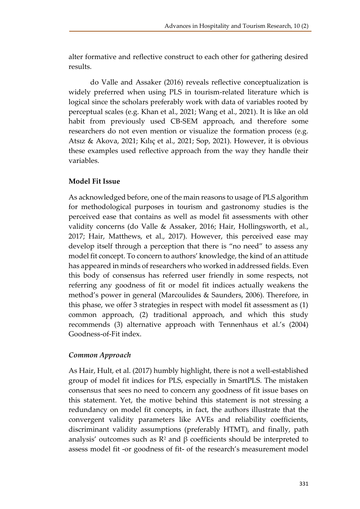alter formative and reflective construct to each other for gathering desired results.

do Valle and Assaker (2016) reveals reflective conceptualization is widely preferred when using PLS in tourism-related literature which is logical since the scholars preferably work with data of variables rooted by perceptual scales (e.g. Khan et al., 2021; Wang et al., 2021). It is like an old habit from previously used CB-SEM approach, and therefore some researchers do not even mention or visualize the formation process (e.g. Atsız & Akova, 2021; Kılıç et al., 2021; Sop, 2021). However, it is obvious these examples used reflective approach from the way they handle their variables.

# **Model Fit Issue**

As acknowledged before, one of the main reasons to usage of PLS algorithm for methodological purposes in tourism and gastronomy studies is the perceived ease that contains as well as model fit assessments with other validity concerns (do Valle & Assaker, 2016; Hair, Hollingsworth, et al., 2017; Hair, Matthews, et al., 2017). However, this perceived ease may develop itself through a perception that there is "no need" to assess any model fit concept. To concern to authors' knowledge, the kind of an attitude has appeared in minds of researchers who worked in addressed fields. Even this body of consensus has referred user friendly in some respects, not referring any goodness of fit or model fit indices actually weakens the method's power in general (Marcoulides & Saunders, 2006). Therefore, in this phase, we offer 3 strategies in respect with model fit assessment as (1) common approach, (2) traditional approach, and which this study recommends (3) alternative approach with Tennenhaus et al.'s (2004) Goodness-of-Fit index.

# *Common Approach*

As Hair, Hult, et al. (2017) humbly highlight, there is not a well-established group of model fit indices for PLS, especially in SmartPLS. The mistaken consensus that sees no need to concern any goodness of fit issue bases on this statement. Yet, the motive behind this statement is not stressing a redundancy on model fit concepts, in fact, the authors illustrate that the convergent validity parameters like AVEs and reliability coefficients, discriminant validity assumptions (preferably HTMT), and finally, path analysis' outcomes such as  $\mathbb{R}^2$  and β coefficients should be interpreted to assess model fit -or goodness of fit- of the research's measurement model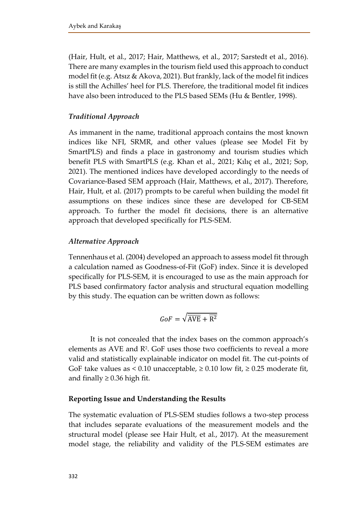(Hair, Hult, et al., 2017; Hair, Matthews, et al., 2017; Sarstedt et al., 2016). There are many examples in the tourism field used this approach to conduct model fit (e.g. Atsız & Akova, 2021). But frankly, lack of the model fit indices is still the Achilles' heel for PLS. Therefore, the traditional model fit indices have also been introduced to the PLS based SEMs (Hu & Bentler, 1998).

# *Traditional Approach*

As immanent in the name, traditional approach contains the most known indices like NFI, SRMR, and other values (please see Model Fit by SmartPLS) and finds a place in gastronomy and tourism studies which benefit PLS with SmartPLS (e.g. Khan et al., 2021; Kılıç et al., 2021; Sop, 2021). The mentioned indices have developed accordingly to the needs of Covariance-Based SEM approach (Hair, Matthews, et al., 2017). Therefore, Hair, Hult, et al. (2017) prompts to be careful when building the model fit assumptions on these indices since these are developed for CB-SEM approach. To further the model fit decisions, there is an alternative approach that developed specifically for PLS-SEM.

# *Alternative Approach*

Tennenhaus et al. (2004) developed an approach to assess model fit through a calculation named as Goodness-of-Fit (GoF) index. Since it is developed specifically for PLS-SEM, it is encouraged to use as the main approach for PLS based confirmatory factor analysis and structural equation modelling by this study. The equation can be written down as follows:

$$
GoF = \sqrt{\overline{\text{AVE}} + \overline{\text{R}^2}}
$$

It is not concealed that the index bases on the common approach's elements as AVE and R<sup>2</sup> . GoF uses those two coefficients to reveal a more valid and statistically explainable indicator on model fit. The cut-points of GoF take values as < 0.10 unacceptable,  $\geq$  0.10 low fit,  $\geq$  0.25 moderate fit, and finally  $\geq$  0.36 high fit.

### **Reporting Issue and Understanding the Results**

The systematic evaluation of PLS-SEM studies follows a two-step process that includes separate evaluations of the measurement models and the structural model (please see Hair Hult, et al., 2017). At the measurement model stage, the reliability and validity of the PLS-SEM estimates are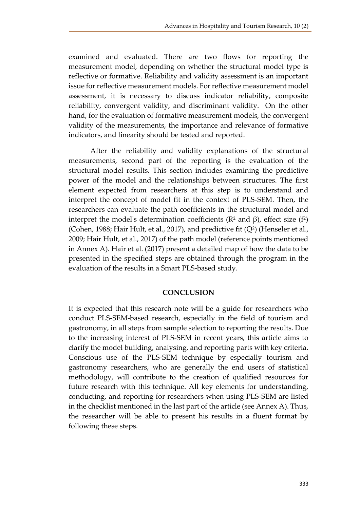examined and evaluated. There are two flows for reporting the measurement model, depending on whether the structural model type is reflective or formative. Reliability and validity assessment is an important issue for reflective measurement models. For reflective measurement model assessment, it is necessary to discuss indicator reliability, composite reliability, convergent validity, and discriminant validity. On the other hand, for the evaluation of formative measurement models, the convergent validity of the measurements, the importance and relevance of formative indicators, and linearity should be tested and reported.

After the reliability and validity explanations of the structural measurements, second part of the reporting is the evaluation of the structural model results. This section includes examining the predictive power of the model and the relationships between structures. The first element expected from researchers at this step is to understand and interpret the concept of model fit in the context of PLS-SEM. Then, the researchers can evaluate the path coefficients in the structural model and interpret the model's determination coefficients ( $\mathbb{R}^2$  and  $\beta$ ), effect size ( $f^2$ ) (Cohen, 1988; Hair Hult, et al., 2017), and predictive fit  $(Q^2)$  (Henseler et al., 2009; Hair Hult, et al., 2017) of the path model (reference points mentioned in Annex A). Hair et al. (2017) present a detailed map of how the data to be presented in the specified steps are obtained through the program in the evaluation of the results in a Smart PLS-based study.

### **CONCLUSION**

It is expected that this research note will be a guide for researchers who conduct PLS-SEM-based research, especially in the field of tourism and gastronomy, in all steps from sample selection to reporting the results. Due to the increasing interest of PLS-SEM in recent years, this article aims to clarify the model building, analysing, and reporting parts with key criteria. Conscious use of the PLS-SEM technique by especially tourism and gastronomy researchers, who are generally the end users of statistical methodology, will contribute to the creation of qualified resources for future research with this technique. All key elements for understanding, conducting, and reporting for researchers when using PLS-SEM are listed in the checklist mentioned in the last part of the article (see Annex A). Thus, the researcher will be able to present his results in a fluent format by following these steps.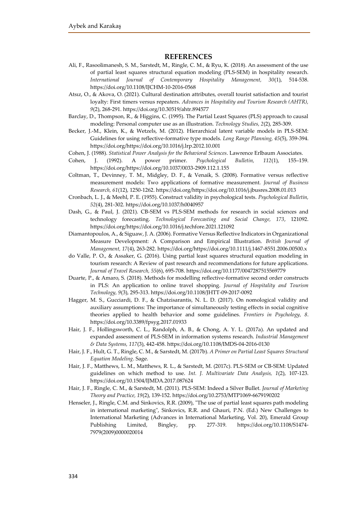#### **REFERENCES**

- Ali, F., Rasoolimanesh, S. M., Sarstedt, M., Ringle, C. M., & Ryu, K. (2018). An assessment of the use of partial least squares structural equation modeling (PLS-SEM) in hospitality research. *International Journal of Contemporary Hospitality Management, 30*(1), 514-538. https://doi.org/10.1108/IJCHM-10-2016-0568
- Atsız, O., & Akova, O. (2021). Cultural destination attributes, overall tourist satisfaction and tourist loyalty: First timers versus repeaters. *Advances in Hospitality and Tourism Research (AHTR), 9*(2), 268-291. https://doi.org/10.30519/ahtr.894577
- Barclay, D., Thompson, R., & Higgins, C. (1995). The Partial Least Squares (PLS) approach to causal modeling: Personal computer use as an illustration. *Technology Studies, 2*(2), 285-309.
- Becker, J.-M., Klein, K., & Wetzels, M. (2012). Hierarchical latent variable models in PLS-SEM: Guidelines for using reflective-formative type models. *Long Range Planning, 45*(5), 359-394. https://doi.org/https://doi.org/10.1016/j.lrp.2012.10.001
- Cohen, J. (1988). *Statistical Power Analysis for the Behavioral Sciences*. Lawrence Erlbaum Associates.
- Cohen, J. (1992). A power primer. *Psychological Bulletin, 112*(1), 155–159. https://doi.org/https://doi.org/10.1037/0033-2909.112.1.155
- Coltman, T., Devinney, T. M., Midgley, D. F., & Venaik, S. (2008). Formative versus reflective measurement models: Two applications of formative measurement. *Journal of Business Research, 61*(12), 1250-1262. https://doi.org/https://doi.org/10.1016/j.jbusres.2008.01.013
- Cronbach, L. J., & Meehl, P. E. (1955). Construct validity in psychological tests. *Psychological Bulletin, 52*(4), 281-302. https://doi.org/10.1037/h0040957
- Dash, G., & Paul, J. (2021). CB-SEM vs PLS-SEM methods for research in social sciences and technology forecasting. *Technological Forecasting and Social Change, 173*, 121092. https://doi.org/https://doi.org/10.1016/j.techfore.2021.121092
- Diamantopoulos, A., & Siguaw, J. A. (2006). Formative Versus Reflective Indicators in Organizational Measure Development: A Comparison and Empirical Illustration. *British Journal of Management, 17*(4), 263-282. https://doi.org/https://doi.org/10.1111/j.1467-8551.2006.00500.x
- do Valle, P. O., & Assaker, G. (2016). Using partial least squares structural equation modeling in tourism research: A Review of past research and recommendations for future applications. *Journal of Travel Research, 55*(6), 695-708. https://doi.org/10.1177/0047287515569779
- Duarte, P., & Amaro, S. (2018). Methods for modelling reflective-formative second order constructs in PLS: An application to online travel shopping. *Journal of Hospitality and Tourism Technology, 9*(3), 295-313. https://doi.org/10.1108/JHTT-09-2017-0092
- Hagger, M. S., Gucciardi, D. F., & Chatzisarantis, N. L. D. (2017). On nomological validity and auxiliary assumptions: The importance of simultaneously testing effects in social cognitive theories applied to health behavior and some guidelines. *Frontiers in Psychology, 8*. https://doi.org/10.3389/fpsyg.2017.01933
- Hair, J. F., Hollingsworth, C. L., Randolph, A. B., & Chong, A. Y. L. (2017a). An updated and expanded assessment of PLS-SEM in information systems research. *Industrial Management & Data Systems, 117*(3), 442-458. https://doi.org/10.1108/IMDS-04-2016-0130
- Hair, J. F., Hult, G. T., Ringle, C. M., & Sarstedt, M. (2017b). *A Primer on Partial Least Squares Structural Equation Modeling*. Sage.
- Hair, J. F., Matthews, L. M., Matthews, R. L., & Sarstedt, M. (2017c). PLS-SEM or CB-SEM: Updated guidelines on which method to use. *Int. J. Multivariate Data Analysis, 1*(2), 107-123. https://doi.org/10.1504/IJMDA.2017.087624
- Hair, J. F., Ringle, C. M., & Sarstedt, M. (2011). PLS-SEM: Indeed a Silver Bullet. *Journal of Marketing Theory and Practice, 19*(2), 139-152. https://doi.org/10.2753/MTP1069-6679190202
- Henseler, J., Ringle, C.M. and Sinkovics, R.R. (2009), "The use of partial least squares path modeling in international marketing", Sinkovics, R.R. and Ghauri, P.N. (Ed.) New Challenges to International Marketing (Advances in International Marketing, Vol. 20), Emerald Group Publishing Limited, Bingley, pp. 277-319. https://doi.org/10.1108/S1474- 7979(2009)0000020014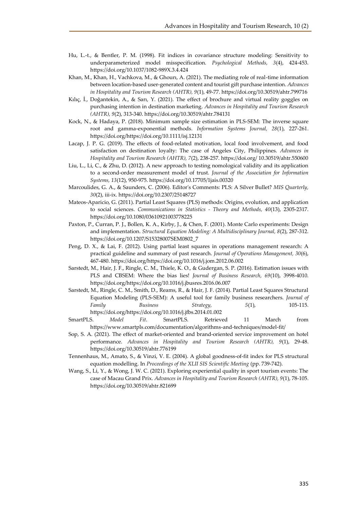- Hu, L.-t., & Bentler, P. M. (1998). Fit indices in covariance structure modeling: Sensitivity to underparameterized model misspecification. *Psychological Methods, 3*(4), 424-453. https://doi.org/10.1037/1082-989X.3.4.424
- Khan, M., Khan, H., Vachkova, M., & Ghourı, A. (2021). The mediating role of real-time information between location-based user-generated content and tourist gift purchase intention. *Advances in Hospitality and Tourism Research (AHTR), 9*(1), 49-77. https://doi.org/10.30519/ahtr.799716
- Kılıç, İ., Doğantekin, A., & Sarı, Y. (2021). The effect of brochure and virtual reality goggles on purchasing intention in destination marketing. *Advances in Hospitality and Tourism Research (AHTR), 9*(2), 313-340. https://doi.org/10.30519/ahtr.784131
- Kock, N., & Hadaya, P. (2018). Minimum sample size estimation in PLS-SEM: The inverse square root and gamma-exponential methods. *Information Systems Journal, 28*(1), 227-261. https://doi.org/https://doi.org/10.1111/isj.12131
- Lacap, J. P. G. (2019). The effects of food-related motivation, local food involvement, and food satisfaction on destination loyalty: The case of Angeles City, Philippines. *Advances in Hospitality and Tourism Research (AHTR), 7*(2), 238-257. https://doi.org/ 10.30519/ahtr.550600
- Liu, L., Li, C., & Zhu, D. (2012). A new approach to testing nomological validity and its application to a second-order measurement model of trust. *Journal of the Association for Information Systems, 13*(12), 950-975. https://doi.org/10.17705/1jais.00320
- Marcoulides, G. A., & Saunders, C. (2006). Editor's Comments: PLS: A Silver Bullet? *MIS Quarterly, 30*(2), iii-ix. https://doi.org/10.2307/25148727
- Mateos-Aparicio, G. (2011). Partial Least Squares (PLS) methods: Origins, evolution, and application to social sciences. *Communications in Statistics - Theory and Methods, 40*(13), 2305-2317. https://doi.org/10.1080/03610921003778225
- Paxton, P., Curran, P. J., Bollen, K. A., Kirby, J., & Chen, F. (2001). Monte Carlo experiments: Design and implementation. *Structural Equation Modeling: A Multidisciplinary Journal, 8*(2), 287-312. https://doi.org/10.1207/S15328007SEM0802\_7
- Peng, D. X., & Lai, F. (2012). Using partial least squares in operations management research: A practical guideline and summary of past research. *Journal of Operations Management, 30*(6), 467-480. https://doi.org/https://doi.org/10.1016/j.jom.2012.06.002
- Sarstedt, M., Hair, J. F., Ringle, C. M., Thiele, K. O., & Gudergan, S. P. (2016). Estimation issues with PLS and CBSEM: Where the bias lies! *Journal of Business Research, 69*(10), 3998-4010. https://doi.org/https://doi.org/10.1016/j.jbusres.2016.06.007
- Sarstedt, M., Ringle, C. M., Smith, D., Reams, R., & Hair, J. F. (2014). Partial Least Squares Structural Equation Modeling (PLS-SEM): A useful tool for family business researchers. *Journal of Family Business Strategy, 5*(1), 105-115. https://doi.org/https://doi.org/10.1016/j.jfbs.2014.01.002
- SmartPLS. *Model Fit*. SmartPLS. Retrieved 11 March from https://www.smartpls.com/documentation/algorithms-and-techniques/model-fit/
- Sop, S. A. (2021). The effect of market-oriented and brand-oriented service improvement on hotel performance. *Advances in Hospitality and Tourism Research (AHTR), 9*(1), 29-48. https://doi.org/10.30519/ahtr.776199
- Tennenhaus, M., Amato, S., & Vinzi, V. E. (2004). A global goodness-of-fit index for PLS structural equation modelling. In *Proceedings of the XLII SIS Scientific Meeting* (pp. 739-742).
- Wang, S., Li, Y., & Wong, J. W. C. (2021). Exploring experiential quality in sport tourism events: The case of Macau Grand Prix. *Advances in Hospitality and Tourism Research (AHTR), 9*(1), 78-105. https://doi.org/10.30519/ahtr.821699